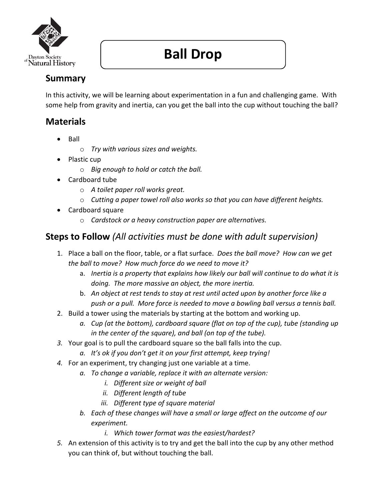

# **Ball Drop**

## **Summary**

In this activity, we will be learning about experimentation in a fun and challenging game. With some help from gravity and inertia, can you get the ball into the cup without touching the ball?

## **Materials**

- **Ball** 
	- o *Try with various sizes and weights.*
- Plastic cup
	- o *Big enough to hold or catch the ball.*
- Cardboard tube
	- o *A toilet paper roll works great.*
	- o *Cutting a paper towel roll also works so that you can have different heights.*
- Cardboard square
	- o *Cardstock or a heavy construction paper are alternatives.*

#### **Steps to Follow** *(All activities must be done with adult supervision)*

- 1. Place a ball on the floor, table, or a flat surface. *Does the ball move? How can we get the ball to move? How much force do we need to move it?*
	- a. *Inertia is a property that explains how likely our ball will continue to do what it is doing. The more massive an object, the more inertia.*
	- b. *An object at rest tends to stay at rest until acted upon by another force like a push or a pull. More force is needed to move a bowling ball versus a tennis ball.*
- 2. Build a tower using the materials by starting at the bottom and working up.
	- *a. Cup (at the bottom), cardboard square (flat on top of the cup), tube (standing up in the center of the square), and ball (on top of the tube).*
- *3.* Your goal is to pull the cardboard square so the ball falls into the cup.
	- *a. It's ok if you don't get it on your first attempt, keep trying!*
- *4.* For an experiment, try changing just one variable at a time.
	- *a. To change a variable, replace it with an alternate version:*
		- *i. Different size or weight of ball*
		- *ii. Different length of tube*
		- *iii. Different type of square material*
		- *b. Each of these changes will have a small or large affect on the outcome of our experiment.*
			- *i. Which tower format was the easiest/hardest?*
- *5.* An extension of this activity is to try and get the ball into the cup by any other method you can think of, but without touching the ball.